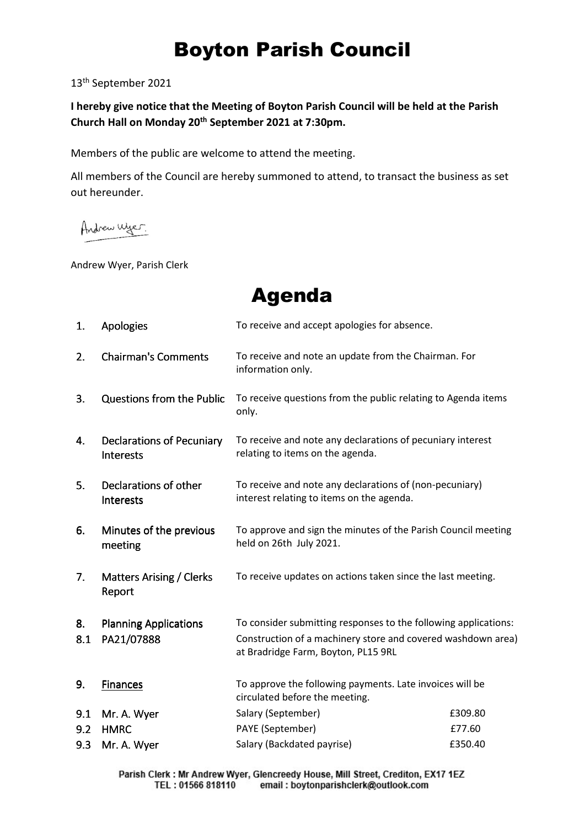## Boyton Parish Council

13th September 2021

**I hereby give notice that the Meeting of Boyton Parish Council will be held at the Parish Church Hall on Monday 20th September 2021 at 7:30pm.** 

Members of the public are welcome to attend the meeting.

All members of the Council are hereby summoned to attend, to transact the business as set out hereunder.

Andrew Wyer.

Andrew Wyer, Parish Clerk

Agenda

| 1.  | Apologies                                            | To receive and accept apologies for absence.                                                         |         |
|-----|------------------------------------------------------|------------------------------------------------------------------------------------------------------|---------|
| 2.  | <b>Chairman's Comments</b>                           | To receive and note an update from the Chairman. For<br>information only.                            |         |
| 3.  | <b>Questions from the Public</b>                     | To receive questions from the public relating to Agenda items<br>only.                               |         |
| 4.  | <b>Declarations of Pecuniary</b><br><b>Interests</b> | To receive and note any declarations of pecuniary interest<br>relating to items on the agenda.       |         |
| 5.  | Declarations of other<br><b>Interests</b>            | To receive and note any declarations of (non-pecuniary)<br>interest relating to items on the agenda. |         |
| 6.  | Minutes of the previous<br>meeting                   | To approve and sign the minutes of the Parish Council meeting<br>held on 26th July 2021.             |         |
| 7.  | Matters Arising / Clerks<br>Report                   | To receive updates on actions taken since the last meeting.                                          |         |
| 8.  | <b>Planning Applications</b>                         | To consider submitting responses to the following applications:                                      |         |
| 8.1 | PA21/07888                                           | Construction of a machinery store and covered washdown area)<br>at Bradridge Farm, Boyton, PL15 9RL  |         |
| 9.  | <b>Finances</b>                                      | To approve the following payments. Late invoices will be<br>circulated before the meeting.           |         |
| 9.1 | Mr. A. Wyer                                          | Salary (September)                                                                                   | £309.80 |
| 9.2 | <b>HMRC</b>                                          | PAYE (September)                                                                                     | £77.60  |
| 9.3 | Mr. A. Wyer                                          | Salary (Backdated payrise)                                                                           | £350.40 |